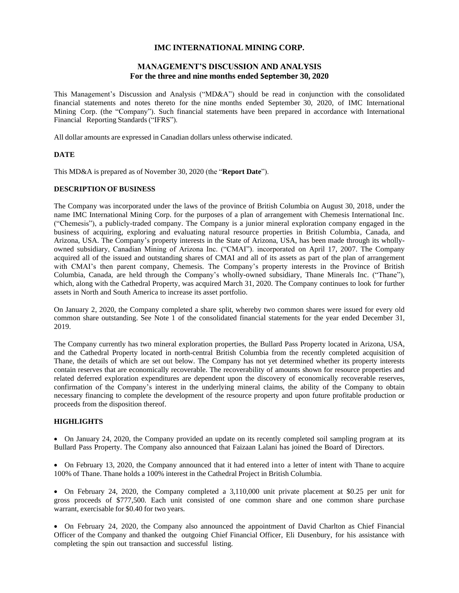# **IMC INTERNATIONAL MINING CORP.**

# **MANAGEMENT'S DISCUSSION AND ANALYSIS For the three and nine months ended September 30, 2020**

This Management's Discussion and Analysis ("MD&A") should be read in conjunction with the consolidated financial statements and notes thereto for the nine months ended September 30, 2020, of IMC International Mining Corp. (the "Company"). Such financial statements have been prepared in accordance with International Financial Reporting Standards("IFRS").

All dollar amounts are expressed in Canadian dollars unless otherwise indicated.

# **DATE**

This MD&A is prepared as of November 30, 2020 (the "**Report Date**").

# **DESCRIPTION OF BUSINESS**

The Company was incorporated under the laws of the province of British Columbia on August 30, 2018, under the name IMC International Mining Corp. for the purposes of a plan of arrangement with Chemesis International Inc. ("Chemesis"), a publicly-traded company. The Company is a junior mineral exploration company engaged in the business of acquiring, exploring and evaluating natural resource properties in British Columbia, Canada, and Arizona, USA. The Company's property interests in the State of Arizona, USA, has been made through its whollyowned subsidiary, Canadian Mining of Arizona Inc. ("CMAI"). incorporated on April 17, 2007. The Company acquired all of the issued and outstanding shares of CMAI and all of its assets as part of the plan of arrangement with CMAI's then parent company, Chemesis. The Company's property interests in the Province of British Columbia, Canada, are held through the Company's wholly-owned subsidiary, Thane Minerals Inc. ("Thane"), which, along with the Cathedral Property, was acquired March 31, 2020. The Company continues to look for further assets in North and South America to increase its asset portfolio.

On January 2, 2020, the Company completed a share split, whereby two common shares were issued for every old common share outstanding. See Note 1 of the consolidated financial statements for the year ended December 31, 2019.

The Company currently has two mineral exploration properties, the Bullard Pass Property located in Arizona, USA, and the Cathedral Property located in north-central British Columbia from the recently completed acquisition of Thane, the details of which are set out below. The Company has not yet determined whether its property interests contain reserves that are economically recoverable. The recoverability of amounts shown for resource properties and related deferred exploration expenditures are dependent upon the discovery of economically recoverable reserves, confirmation of the Company's interest in the underlying mineral claims, the ability of the Company to obtain necessary financing to complete the development of the resource property and upon future profitable production or proceeds from the disposition thereof.

## **HIGHLIGHTS**

• On January 24, 2020, the Company provided an update on its recently completed soil sampling program at its Bullard Pass Property. The Company also announced that Faizaan Lalani has joined the Board of Directors.

• On February 13, 2020, the Company announced that it had entered into a letter of intent with Thane to acquire 100% of Thane. Thane holds a 100% interest in the Cathedral Project in British Columbia.

• On February 24, 2020, the Company completed a 3,110,000 unit private placement at \$0.25 per unit for gross proceeds of \$777,500. Each unit consisted of one common share and one common share purchase warrant, exercisable for \$0.40 for two years.

• On February 24, 2020, the Company also announced the appointment of David Charlton as Chief Financial Officer of the Company and thanked the outgoing Chief Financial Officer, Eli Dusenbury, for his assistance with completing the spin out transaction and successful listing.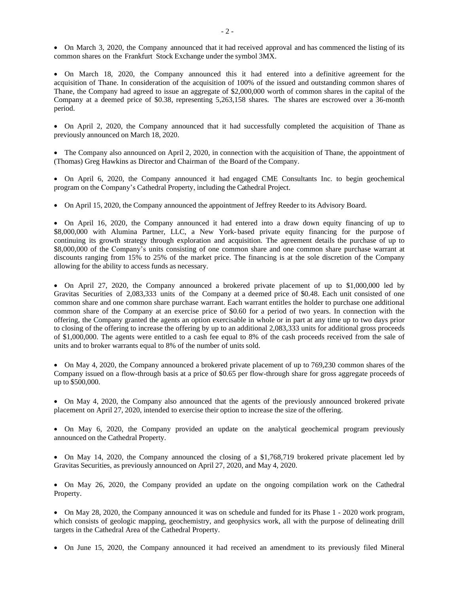• On March 3, 2020, the Company announced that it had received approval and has commenced the listing of its common shares on the Frankfurt Stock Exchange under the symbol 3MX.

• On March 18, 2020, the Company announced this it had entered into a definitive agreement for the acquisition of Thane. In consideration of the acquisition of 100% of the issued and outstanding common shares of Thane, the Company had agreed to issue an aggregate of \$2,000,000 worth of common shares in the capital of the Company at a deemed price of \$0.38, representing 5,263,158 shares. The shares are escrowed over a 36-month period.

• On April 2, 2020, the Company announced that it had successfully completed the acquisition of Thane as previously announced on March 18, 2020.

• The Company also announced on April 2, 2020, in connection with the acquisition of Thane, the appointment of (Thomas) Greg Hawkins as Director and Chairman of the Board of the Company.

• On April 6, 2020, the Company announced it had engaged CME Consultants Inc. to begin geochemical program on the Company's Cathedral Property, including the Cathedral Project.

• On April 15, 2020, the Company announced the appointment of Jeffrey Reeder to its Advisory Board.

• On April 16, 2020, the Company announced it had entered into a draw down equity financing of up to \$8,000,000 with Alumina Partner, LLC, a New York-based private equity financing for the purpose of continuing its growth strategy through exploration and acquisition. The agreement details the purchase of up to \$8,000,000 of the Company's units consisting of one common share and one common share purchase warrant at discounts ranging from 15% to 25% of the market price. The financing is at the sole discretion of the Company allowing for the ability to access funds as necessary.

• On April 27, 2020, the Company announced a brokered private placement of up to \$1,000,000 led by Gravitas Securities of 2,083,333 units of the Company at a deemed price of \$0.48. Each unit consisted of one common share and one common share purchase warrant. Each warrant entitles the holder to purchase one additional common share of the Company at an exercise price of \$0.60 for a period of two years. In connection with the offering, the Company granted the agents an option exercisable in whole or in part at any time up to two days prior to closing of the offering to increase the offering by up to an additional 2,083,333 units for additional gross proceeds of \$1,000,000. The agents were entitled to a cash fee equal to 8% of the cash proceeds received from the sale of units and to broker warrants equal to 8% of the number of units sold.

• On May 4, 2020, the Company announced a brokered private placement of up to 769,230 common shares of the Company issued on a flow-through basis at a price of \$0.65 per flow-through share for gross aggregate proceeds of up to \$500,000.

• On May 4, 2020, the Company also announced that the agents of the previously announced brokered private placement on April 27, 2020, intended to exercise their option to increase the size of the offering.

• On May 6, 2020, the Company provided an update on the analytical geochemical program previously announced on the Cathedral Property.

• On May 14, 2020, the Company announced the closing of a \$1,768,719 brokered private placement led by Gravitas Securities, as previously announced on April 27, 2020, and May 4, 2020.

• On May 26, 2020, the Company provided an update on the ongoing compilation work on the Cathedral Property.

• On May 28, 2020, the Company announced it was on schedule and funded for its Phase 1 - 2020 work program, which consists of geologic mapping, geochemistry, and geophysics work, all with the purpose of delineating drill targets in the Cathedral Area of the Cathedral Property.

• On June 15, 2020, the Company announced it had received an amendment to its previously filed Mineral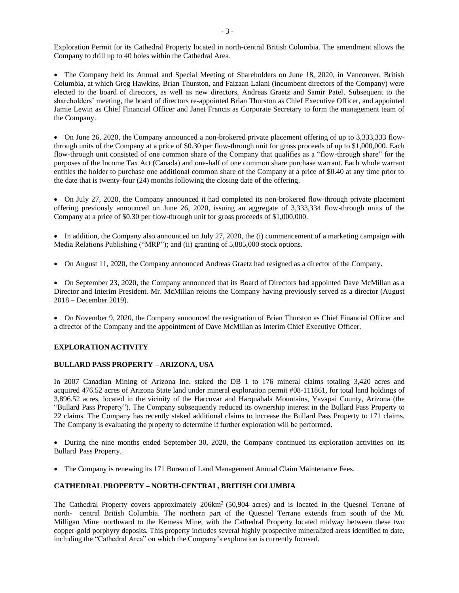Exploration Permit for its Cathedral Property located in north-central British Columbia. The amendment allows the Company to drill up to 40 holes within the Cathedral Area.

• The Company held its Annual and Special Meeting of Shareholders on June 18, 2020, in Vancouver, British Columbia, at which Greg Hawkins, Brian Thurston, and Faizaan Lalani (incumbent directors of the Company) were elected to the board of directors, as well as new directors, Andreas Graetz and Samir Patel. Subsequent to the shareholders' meeting, the board of directors re-appointed Brian Thurston as Chief Executive Officer, and appointed Jamie Lewin as Chief Financial Officer and Janet Francis as Corporate Secretary to form the management team of the Company.

• On June 26, 2020, the Company announced a non-brokered private placement offering of up to 3,333,333 flowthrough units of the Company at a price of \$0.30 per flow-through unit for gross proceeds of up to \$1,000,000. Each flow-through unit consisted of one common share of the Company that qualifies as a "flow-through share" for the purposes of the Income Tax Act (Canada) and one-half of one common share purchase warrant. Each whole warrant entitles the holder to purchase one additional common share of the Company at a price of \$0.40 at any time prior to the date that is twenty-four (24) months following the closing date of the offering.

• On July 27, 2020, the Company announced it had completed its non-brokered flow-through private placement offering previously announced on June 26, 2020, issuing an aggregate of 3,333,334 flow-through units of the Company at a price of \$0.30 per flow-through unit for gross proceeds of \$1,000,000.

• In addition, the Company also announced on July 27, 2020, the (i) commencement of a marketing campaign with Media Relations Publishing ("MRP"); and (ii) granting of 5,885,000 stock options.

• On August 11, 2020, the Company announced Andreas Graetz had resigned as a director of the Company.

• On September 23, 2020, the Company announced that its Board of Directors had appointed Dave McMillan as a Director and Interim President. Mr. McMillan rejoins the Company having previously served as a director (August 2018 – December 2019).

• On November 9, 2020, the Company announced the resignation of Brian Thurston as Chief Financial Officer and a director of the Company and the appointment of Dave McMillan as Interim Chief Executive Officer.

# **EXPLORATION ACTIVITY**

## **BULLARD PASS PROPERTY – ARIZONA, USA**

In 2007 Canadian Mining of Arizona Inc. staked the DB 1 to 176 mineral claims totaling 3,420 acres and acquired 476.52 acres of Arizona State land under mineral exploration permit #08-111861, for total land holdings of 3,896.52 acres, located in the vicinity of the Harcuvar and Harquahala Mountains, Yavapai County, Arizona (the "Bullard Pass Property"). The Company subsequently reduced its ownership interest in the Bullard Pass Property to 22 claims. The Company has recently staked additional claims to increase the Bullard Pass Property to 171 claims. The Company is evaluating the property to determine if further exploration will be performed.

• During the nine months ended September 30, 2020, the Company continued its exploration activities on its Bullard Pass Property.

• The Company is renewing its 171 Bureau of Land Management Annual Claim Maintenance Fees.

# **CATHEDRAL PROPERTY – NORTH-CENTRAL, BRITISH COLUMBIA**

The Cathedral Property covers approximately 206km<sup>2</sup> (50,904 acres) and is located in the Quesnel Terrane of north- central British Columbia. The northern part of the Quesnel Terrane extends from south of the Mt. Milligan Mine northward to the Kemess Mine, with the Cathedral Property located midway between these two copper-gold porphyry deposits. This property includes several highly prospective mineralized areas identified to date, including the "Cathedral Area" on which the Company's exploration is currently focused.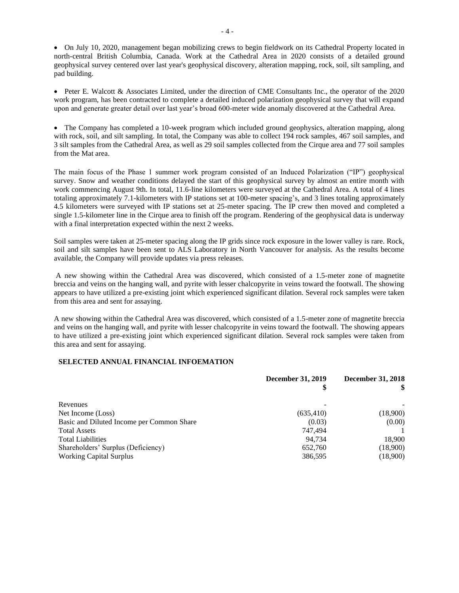• On July 10, 2020, management began mobilizing crews to begin fieldwork on its Cathedral Property located in north-central British Columbia, Canada. Work at the Cathedral Area in 2020 consists of a detailed ground geophysical survey centered over last year's geophysical discovery, alteration mapping, rock, soil, silt sampling, and pad building.

• Peter E. Walcott & Associates Limited, under the direction of CME Consultants Inc., the operator of the 2020 work program, has been contracted to complete a detailed induced polarization geophysical survey that will expand upon and generate greater detail over last year's broad 600-meter wide anomaly discovered at the Cathedral Area.

• The Company has completed a 10-week program which included ground geophysics, alteration mapping, along with rock, soil, and silt sampling. In total, the Company was able to collect 194 rock samples, 467 soil samples, and 3 silt samples from the Cathedral Area, as well as 29 soil samples collected from the Cirque area and 77 soil samples from the Mat area.

The main focus of the Phase 1 summer work program consisted of an Induced Polarization ("IP") geophysical survey. Snow and weather conditions delayed the start of this geophysical survey by almost an entire month with work commencing August 9th. In total, 11.6-line kilometers were surveyed at the Cathedral Area. A total of 4 lines totaling approximately 7.1-kilometers with IP stations set at 100-meter spacing's, and 3 lines totaling approximately 4.5 kilometers were surveyed with IP stations set at 25-meter spacing. The IP crew then moved and completed a single 1.5-kilometer line in the Cirque area to finish off the program. Rendering of the geophysical data is underway with a final interpretation expected within the next 2 weeks.

Soil samples were taken at 25-meter spacing along the IP grids since rock exposure in the lower valley is rare. Rock, soil and silt samples have been sent to ALS Laboratory in North Vancouver for analysis. As the results become available, the Company will provide updates via press releases.

A new showing within the Cathedral Area was discovered, which consisted of a 1.5-meter zone of magnetite breccia and veins on the hanging wall, and pyrite with lesser chalcopyrite in veins toward the footwall. The showing appears to have utilized a pre-existing joint which experienced significant dilation. Several rock samples were taken from this area and sent for assaying.

A new showing within the Cathedral Area was discovered, which consisted of a 1.5-meter zone of magnetite breccia and veins on the hanging wall, and pyrite with lesser chalcopyrite in veins toward the footwall. The showing appears to have utilized a pre-existing joint which experienced significant dilation. Several rock samples were taken from this area and sent for assaying.

## **SELECTED ANNUAL FINANCIAL INFOEMATION**

|                                           | <b>December 31, 2019</b> | <b>December 31, 2018</b> |
|-------------------------------------------|--------------------------|--------------------------|
| Revenues                                  |                          |                          |
| Net Income (Loss)                         | (635, 410)               | (18,900)                 |
| Basic and Diluted Income per Common Share | (0.03)                   | (0.00)                   |
| <b>Total Assets</b>                       | 747.494                  |                          |
| <b>Total Liabilities</b>                  | 94.734                   | 18,900                   |
| Shareholders' Surplus (Deficiency)        | 652,760                  | (18,900)                 |
| <b>Working Capital Surplus</b>            | 386,595                  | (18,900)                 |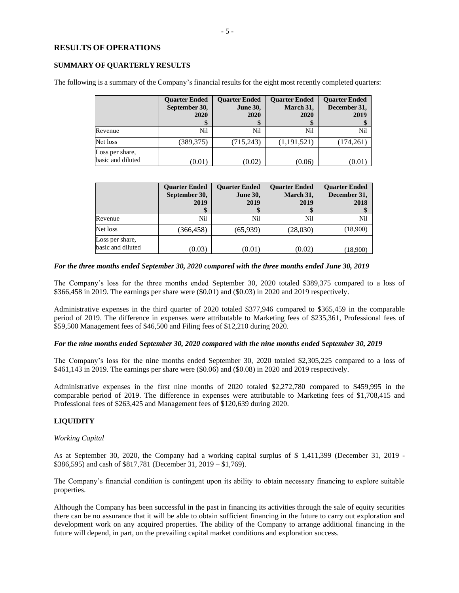# **RESULTS OF OPERATIONS**

### **SUMMARY OF QUARTERLY RESULTS**

The following is a summary of the Company's financial results for the eight most recently completed quarters:

|                                      | <b>Quarter Ended</b><br>September 30,<br>2020 | <b>Ouarter Ended</b><br><b>June 30,</b><br>2020 | <b>Ouarter Ended</b><br>March 31,<br>2020 | <b>Quarter Ended</b><br>December 31,<br>2019 |
|--------------------------------------|-----------------------------------------------|-------------------------------------------------|-------------------------------------------|----------------------------------------------|
| Revenue                              | Nil                                           | Nil                                             | Nil                                       | Nil                                          |
| Net loss                             | (389,375)                                     | (715, 243)                                      | (1,191,521)                               | (174,261)                                    |
| Loss per share,<br>basic and diluted | (0.01)                                        | (0.02)                                          | (0.06)                                    | (0.0                                         |

|                                      | <b>Ouarter Ended</b><br>September 30,<br>2019 | <b>Ouarter Ended</b><br><b>June 30,</b><br>2019<br>ъĐ | <b>Ouarter Ended</b><br>March 31,<br>2019 | <b>Quarter Ended</b><br>December 31,<br>2018 |
|--------------------------------------|-----------------------------------------------|-------------------------------------------------------|-------------------------------------------|----------------------------------------------|
| Revenue                              | Nil                                           | Nil                                                   | Nil                                       | Nil                                          |
| Net loss                             | (366, 458)                                    | (65,939)                                              | (28,030)                                  | (18,900)                                     |
| Loss per share,<br>basic and diluted | (0.03)                                        | (0.01)                                                | (0.02)                                    | (18,900)                                     |

## *For the three months ended September 30, 2020 compared with the three months ended June 30, 2019*

The Company's loss for the three months ended September 30, 2020 totaled \$389,375 compared to a loss of \$366,458 in 2019. The earnings per share were (\$0.01) and (\$0.03) in 2020 and 2019 respectively.

Administrative expenses in the third quarter of 2020 totaled \$377,946 compared to \$365,459 in the comparable period of 2019. The difference in expenses were attributable to Marketing fees of \$235,361, Professional fees of \$59,500 Management fees of \$46,500 and Filing fees of \$12,210 during 2020.

#### *For the nine months ended September 30, 2020 compared with the nine months ended September 30, 2019*

The Company's loss for the nine months ended September 30, 2020 totaled \$2,305,225 compared to a loss of \$461,143 in 2019. The earnings per share were (\$0.06) and (\$0.08) in 2020 and 2019 respectively.

Administrative expenses in the first nine months of 2020 totaled \$2,272,780 compared to \$459,995 in the comparable period of 2019. The difference in expenses were attributable to Marketing fees of \$1,708,415 and Professional fees of \$263,425 and Management fees of \$120,639 during 2020.

# **LIQUIDITY**

#### *Working Capital*

As at September 30, 2020, the Company had a working capital surplus of \$ 1,411,399 (December 31, 2019 - \$386,595) and cash of \$817,781 (December 31, 2019 – \$1,769).

The Company's financial condition is contingent upon its ability to obtain necessary financing to explore suitable properties.

Although the Company has been successful in the past in financing its activities through the sale of equity securities there can be no assurance that it will be able to obtain sufficient financing in the future to carry out exploration and development work on any acquired properties. The ability of the Company to arrange additional financing in the future will depend, in part, on the prevailing capital market conditions and exploration success.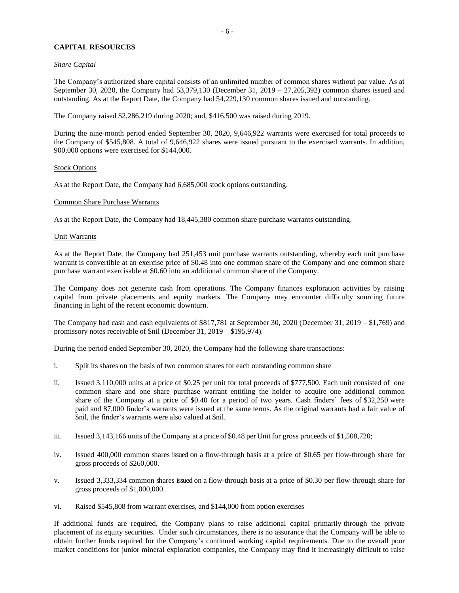# **CAPITAL RESOURCES**

### *Share Capital*

The Company's authorized share capital consists of an unlimited number of common shares without par value. As at September 30, 2020, the Company had 53,379,130 (December 31, 2019 – 27,205,392) common shares issued and outstanding. As at the Report Date, the Company had 54,229,130 common shares issued and outstanding.

The Company raised \$2,286,219 during 2020; and, \$416,500 was raised during 2019.

During the nine-month period ended September 30, 2020, 9,646,922 warrants were exercised for total proceeds to the Company of \$545,808. A total of 9,646,922 shares were issued pursuant to the exercised warrants. In addition, 900,000 options were exercised for \$144,000.

#### Stock Options

As at the Report Date, the Company had 6,685,000 stock options outstanding.

## Common Share Purchase Warrants

As at the Report Date, the Company had 18,445,380 common share purchase warrants outstanding.

#### Unit Warrants

As at the Report Date, the Company had 251,453 unit purchase warrants outstanding, whereby each unit purchase warrant is convertible at an exercise price of \$0.48 into one common share of the Company and one common share purchase warrant exercisable at \$0.60 into an additional common share of the Company.

The Company does not generate cash from operations. The Company finances exploration activities by raising capital from private placements and equity markets. The Company may encounter difficulty sourcing future financing in light of the recent economic downturn.

The Company had cash and cash equivalents of \$817,781 at September 30, 2020 (December 31, 2019 – \$1,769) and promissory notes receivable of \$nil (December 31, 2019 – \$195,974).

During the period ended September 30, 2020, the Company had the following share transactions:

- i. Split its shares on the basis of two common shares for each outstanding common share
- ii. Issued 3,110,000 units at a price of \$0.25 per unit for total proceeds of \$777,500. Each unit consisted of one common share and one share purchase warrant entitling the holder to acquire one additional common share of the Company at a price of \$0.40 for a period of two years. Cash finders' fees of \$32,250 were paid and 87,000 finder's warrants were issued at the same terms. As the original warrants had a fair value of \$nil, the finder's warrants were also valued at \$nil.
- iii. Issued 3,143,166 units of the Company at a price of \$0.48 per Unit for gross proceeds of \$1,508,720;
- iv. Issued 400,000 common shares issued on a flow-through basis at a price of \$0.65 per flow-through share for gross proceeds of \$260,000.
- v. Issued 3,333,334 common shares issued on a flow-through basis at a price of \$0.30 per flow-through share for gross proceeds of \$1,000,000.
- vi. Raised \$545,808 from warrant exercises, and \$144,000 from option exercises

If additional funds are required, the Company plans to raise additional capital primarily through the private placement of its equity securities. Under such circumstances, there is no assurance that the Company will be able to obtain further funds required for the Company's continued working capital requirements. Due to the overall poor market conditions for junior mineral exploration companies, the Company may find it increasingly difficult to raise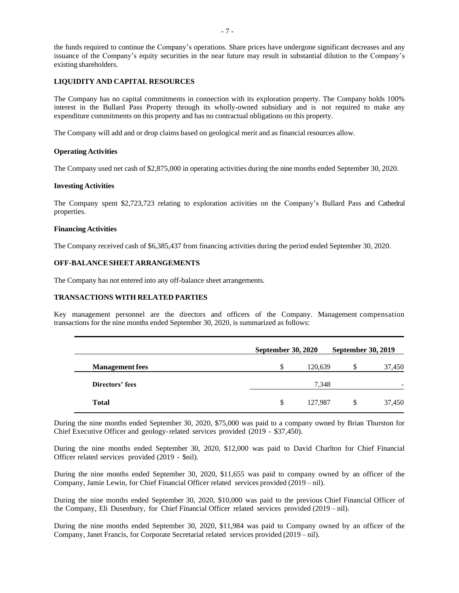the funds required to continue the Company's operations. Share prices have undergone significant decreases and any issuance of the Company's equity securities in the near future may result in substantial dilution to the Company's existing shareholders.

## **LIQUIDITY AND CAPITAL RESOURCES**

The Company has no capital commitments in connection with its exploration property. The Company holds 100% interest in the Bullard Pass Property through its wholly-owned subsidiary and is not required to make any expenditure commitments on this property and has no contractual obligations on this property.

The Company will add and or drop claims based on geological merit and as financial resources allow.

#### **Operating Activities**

The Company used net cash of \$2,875,000 in operating activities during the nine months ended September 30, 2020.

#### **Investing Activities**

The Company spent \$2,723,723 relating to exploration activities on the Company's Bullard Pass and Cathedral properties.

#### **Financing Activities**

The Company received cash of \$6,385,437 from financing activities during the period ended September 30, 2020.

# **OFF-BALANCESHEET ARRANGEMENTS**

The Company has not entered into any off-balance sheet arrangements.

### **TRANSACTIONS WITH RELATED PARTIES**

Key management personnel are the directors and officers of the Company. Management compensation transactions for the nine months ended September 30, 2020, is summarized as follows:

|                        | <b>September 30, 2020</b> |         |    | <b>September 30, 2019</b> |
|------------------------|---------------------------|---------|----|---------------------------|
| <b>Management fees</b> | S                         | 120,639 | S  | 37,450                    |
| Directors' fees        |                           | 7.348   |    |                           |
| <b>Total</b>           | <sup>\$</sup>             | 127,987 | \$ | 37,450                    |

During the nine months ended September 30, 2020, \$75,000 was paid to a company owned by Brian Thurston for Chief Executive Officer and geology-related services provided (2019 - \$37,450).

During the nine months ended September 30, 2020, \$12,000 was paid to David Charlton for Chief Financial Officer related services provided (2019 - \$nil).

During the nine months ended September 30, 2020, \$11,655 was paid to company owned by an officer of the Company, Jamie Lewin, for Chief Financial Officer related services provided (2019 – nil).

During the nine months ended September 30, 2020, \$10,000 was paid to the previous Chief Financial Officer of the Company, Eli Dusenbury, for Chief Financial Officer related services provided (2019 – nil).

During the nine months ended September 30, 2020, \$11,984 was paid to Company owned by an officer of the Company, Janet Francis, for Corporate Secretarial related services provided (2019 – nil).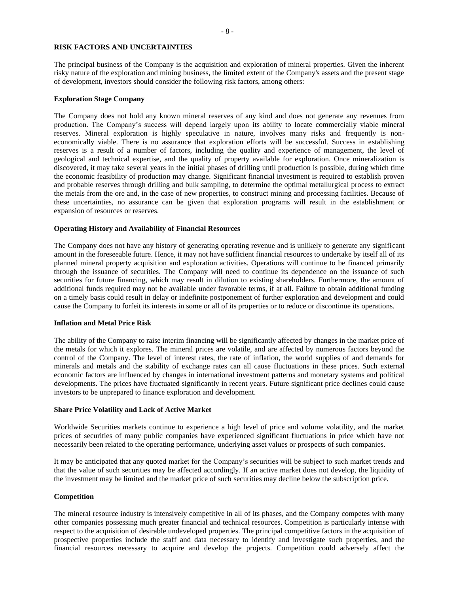#### **RISK FACTORS AND UNCERTAINTIES**

The principal business of the Company is the acquisition and exploration of mineral properties. Given the inherent risky nature of the exploration and mining business, the limited extent of the Company's assets and the present stage of development, investors should consider the following risk factors, among others:

#### **Exploration Stage Company**

The Company does not hold any known mineral reserves of any kind and does not generate any revenues from production. The Company's success will depend largely upon its ability to locate commercially viable mineral reserves. Mineral exploration is highly speculative in nature, involves many risks and frequently is noneconomically viable. There is no assurance that exploration efforts will be successful. Success in establishing reserves is a result of a number of factors, including the quality and experience of management, the level of geological and technical expertise, and the quality of property available for exploration. Once mineralization is discovered, it may take several years in the initial phases of drilling until production is possible, during which time the economic feasibility of production may change. Significant financial investment is required to establish proven and probable reserves through drilling and bulk sampling, to determine the optimal metallurgical process to extract the metals from the ore and, in the case of new properties, to construct mining and processing facilities. Because of these uncertainties, no assurance can be given that exploration programs will result in the establishment or expansion of resources or reserves.

## **Operating History and Availability of Financial Resources**

The Company does not have any history of generating operating revenue and is unlikely to generate any significant amount in the foreseeable future. Hence, it may not have sufficient financial resources to undertake by itself all of its planned mineral property acquisition and exploration activities. Operations will continue to be financed primarily through the issuance of securities. The Company will need to continue its dependence on the issuance of such securities for future financing, which may result in dilution to existing shareholders. Furthermore, the amount of additional funds required may not be available under favorable terms, if at all. Failure to obtain additional funding on a timely basis could result in delay or indefinite postponement of further exploration and development and could cause the Company to forfeit its interests in some or all of its properties or to reduce or discontinue its operations.

#### **Inflation and Metal Price Risk**

The ability of the Company to raise interim financing will be significantly affected by changes in the market price of the metals for which it explores. The mineral prices are volatile, and are affected by numerous factors beyond the control of the Company. The level of interest rates, the rate of inflation, the world supplies of and demands for minerals and metals and the stability of exchange rates can all cause fluctuations in these prices. Such external economic factors are influenced by changes in international investment patterns and monetary systems and political developments. The prices have fluctuated significantly in recent years. Future significant price declines could cause investors to be unprepared to finance exploration and development.

### **Share Price Volatility and Lack of Active Market**

Worldwide Securities markets continue to experience a high level of price and volume volatility, and the market prices of securities of many public companies have experienced significant fluctuations in price which have not necessarily been related to the operating performance, underlying asset values or prospects of such companies.

It may be anticipated that any quoted market for the Company's securities will be subject to such market trends and that the value of such securities may be affected accordingly. If an active market does not develop, the liquidity of the investment may be limited and the market price of such securities may decline below the subscription price.

#### **Competition**

The mineral resource industry is intensively competitive in all of its phases, and the Company competes with many other companies possessing much greater financial and technical resources. Competition is particularly intense with respect to the acquisition of desirable undeveloped properties. The principal competitive factors in the acquisition of prospective properties include the staff and data necessary to identify and investigate such properties, and the financial resources necessary to acquire and develop the projects. Competition could adversely affect the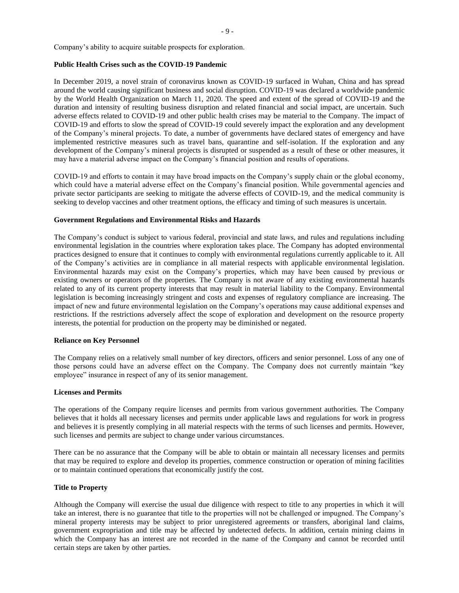Company's ability to acquire suitable prospects for exploration.

#### **Public Health Crises such as the COVID-19 Pandemic**

In December 2019, a novel strain of coronavirus known as COVID-19 surfaced in Wuhan, China and has spread around the world causing significant business and social disruption. COVID-19 was declared a worldwide pandemic by the World Health Organization on March 11, 2020. The speed and extent of the spread of COVID-19 and the duration and intensity of resulting business disruption and related financial and social impact, are uncertain. Such adverse effects related to COVID-19 and other public health crises may be material to the Company. The impact of COVID-19 and efforts to slow the spread of COVID-19 could severely impact the exploration and any development of the Company's mineral projects. To date, a number of governments have declared states of emergency and have implemented restrictive measures such as travel bans, quarantine and self-isolation. If the exploration and any development of the Company's mineral projects is disrupted or suspended as a result of these or other measures, it may have a material adverse impact on the Company's financial position and results of operations.

COVID-19 and efforts to contain it may have broad impacts on the Company's supply chain or the global economy, which could have a material adverse effect on the Company's financial position. While governmental agencies and private sector participants are seeking to mitigate the adverse effects of COVID-19, and the medical community is seeking to develop vaccines and other treatment options, the efficacy and timing of such measures is uncertain.

#### **Government Regulations and Environmental Risks and Hazards**

The Company's conduct is subject to various federal, provincial and state laws, and rules and regulations including environmental legislation in the countries where exploration takes place. The Company has adopted environmental practices designed to ensure that it continues to comply with environmental regulations currently applicable to it. All of the Company's activities are in compliance in all material respects with applicable environmental legislation. Environmental hazards may exist on the Company's properties, which may have been caused by previous or existing owners or operators of the properties. The Company is not aware of any existing environmental hazards related to any of its current property interests that may result in material liability to the Company. Environmental legislation is becoming increasingly stringent and costs and expenses of regulatory compliance are increasing. The impact of new and future environmental legislation on the Company's operations may cause additional expenses and restrictions. If the restrictions adversely affect the scope of exploration and development on the resource property interests, the potential for production on the property may be diminished or negated.

#### **Reliance on Key Personnel**

The Company relies on a relatively small number of key directors, officers and senior personnel. Loss of any one of those persons could have an adverse effect on the Company. The Company does not currently maintain "key employee" insurance in respect of any of its senior management.

#### **Licenses and Permits**

The operations of the Company require licenses and permits from various government authorities. The Company believes that it holds all necessary licenses and permits under applicable laws and regulations for work in progress and believes it is presently complying in all material respects with the terms of such licenses and permits. However, such licenses and permits are subject to change under various circumstances.

There can be no assurance that the Company will be able to obtain or maintain all necessary licenses and permits that may be required to explore and develop its properties, commence construction or operation of mining facilities or to maintain continued operations that economically justify the cost.

#### **Title to Property**

Although the Company will exercise the usual due diligence with respect to title to any properties in which it will take an interest, there is no guarantee that title to the properties will not be challenged or impugned. The Company's mineral property interests may be subject to prior unregistered agreements or transfers, aboriginal land claims, government expropriation and title may be affected by undetected defects. In addition, certain mining claims in which the Company has an interest are not recorded in the name of the Company and cannot be recorded until certain steps are taken by other parties.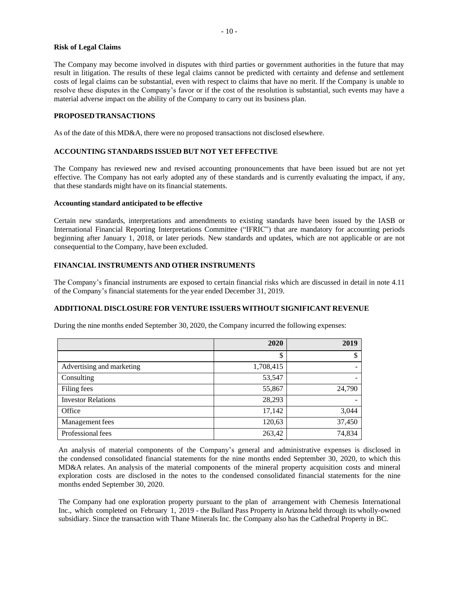#### **Risk of Legal Claims**

The Company may become involved in disputes with third parties or government authorities in the future that may result in litigation. The results of these legal claims cannot be predicted with certainty and defense and settlement costs of legal claims can be substantial, even with respect to claims that have no merit. If the Company is unable to resolve these disputes in the Company's favor or if the cost of the resolution is substantial, such events may have a material adverse impact on the ability of the Company to carry out its business plan.

## **PROPOSEDTRANSACTIONS**

As of the date of this MD&A, there were no proposed transactions not disclosed elsewhere.

# **ACCOUNTING STANDARDS ISSUED BUT NOT YET EFFECTIVE**

The Company has reviewed new and revised accounting pronouncements that have been issued but are not yet effective. The Company has not early adopted any of these standards and is currently evaluating the impact, if any, that these standards might have on its financial statements.

#### **Accounting standard anticipated to be effective**

Certain new standards, interpretations and amendments to existing standards have been issued by the IASB or International Financial Reporting Interpretations Committee ("IFRIC") that are mandatory for accounting periods beginning after January 1, 2018, or later periods. New standards and updates, which are not applicable or are not consequential to the Company, have been excluded.

# **FINANCIAL INSTRUMENTS AND OTHER INSTRUMENTS**

The Company's financial instruments are exposed to certain financial risks which are discussed in detail in note 4.11 of the Company's financial statements for the year ended December 31, 2019.

# **ADDITIONAL DISCLOSURE FOR VENTURE ISSUERS WITHOUT SIGNIFICANT REVENUE**

During the nine months ended September 30, 2020, the Company incurred the following expenses:

|                           | 2020      | 2019   |
|---------------------------|-----------|--------|
|                           | \$        | \$     |
| Advertising and marketing | 1,708,415 |        |
| Consulting                | 53,547    |        |
| Filing fees               | 55,867    | 24,790 |
| <b>Investor Relations</b> | 28,293    |        |
| Office                    | 17,142    | 3,044  |
| Management fees           | 120,63    | 37,450 |
| Professional fees         | 263,42    | 74,834 |
|                           |           |        |

An analysis of material components of the Company's general and administrative expenses is disclosed in the condensed consolidated financial statements for the nine months ended September 30, 2020, to which this MD&A relates. An analysis of the material components of the mineral property acquisition costs and mineral exploration costs are disclosed in the notes to the condensed consolidated financial statements for the nine months ended September 30, 2020.

The Company had one exploration property pursuant to the plan of arrangement with Chemesis International Inc., which completed on February 1, 2019 - the Bullard Pass Property in Arizona held through its wholly-owned subsidiary. Since the transaction with Thane Minerals Inc. the Company also has the Cathedral Property in BC.